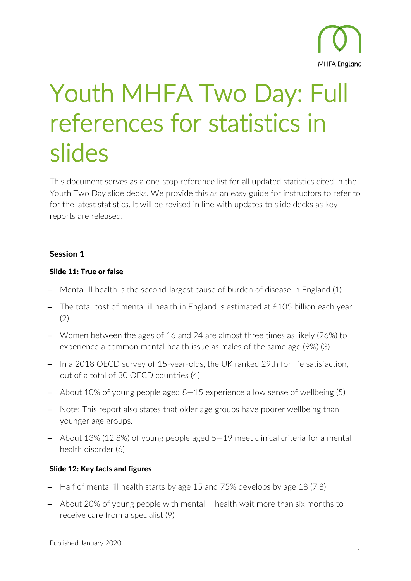

# Youth MHFA Two Day: Full references for statistics in slides

This document serves as a one-stop reference list for all updated statistics cited in the Youth Two Day slide decks. We provide this as an easy guide for instructors to refer to for the latest statistics. It will be revised in line with updates to slide decks as key reports are released.

# Session 1

## Slide 11: True or false

- − Mental ill health is the second-largest cause of burden of disease in England (1)
- − The total cost of mental ill health in England is estimated at £105 billion each year (2)
- − Women between the ages of 16 and 24 are almost three times as likely (26%) to experience a common mental health issue as males of the same age (9%) (3)
- − In a 2018 OECD survey of 15-year-olds, the UK ranked 29th for life satisfaction, out of a total of 30 OECD countries (4)
- − About 10% of young people aged 8—15 experience a low sense of wellbeing (5)
- − Note: This report also states that older age groups have poorer wellbeing than younger age groups.
- − About 13% (12.8%) of young people aged 5—19 meet clinical criteria for a mental health disorder (6)

# Slide 12: Key facts and figures

- − Half of mental ill health starts by age 15 and 75% develops by age 18 (7,8)
- − About 20% of young people with mental ill health wait more than six months to receive care from a specialist (9)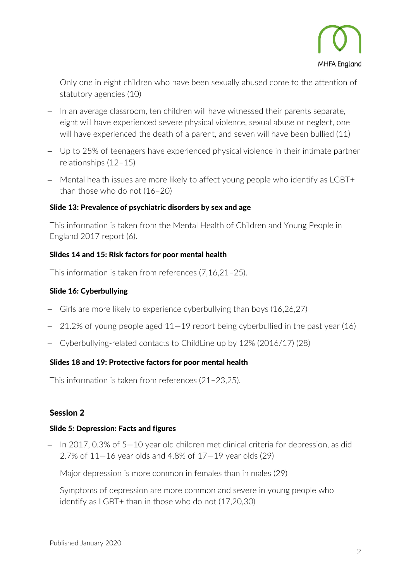

- − Only one in eight children who have been sexually abused come to the attention of statutory agencies (10)
- − In an average classroom, ten children will have witnessed their parents separate, eight will have experienced severe physical violence, sexual abuse or neglect, one will have experienced the death of a parent, and seven will have been bullied (11)
- − Up to 25% of teenagers have experienced physical violence in their intimate partner relationships (12–15)
- − Mental health issues are more likely to affect young people who identify as LGBT+ than those who do not (16–20)

# Slide 13: Prevalence of psychiatric disorders by sex and age

This information is taken from the Mental Health of Children and Young People in England 2017 report (6).

# Slides 14 and 15: Risk factors for poor mental health

This information is taken from references (7,16,21–25).

## Slide 16: Cyberbullying

- − Girls are more likely to experience cyberbullying than boys (16,26,27)
- − 21.2% of young people aged 11—19 report being cyberbullied in the past year (16)
- − Cyberbullying-related contacts to ChildLine up by 12% (2016/17) (28)

# Slides 18 and 19: Protective factors for poor mental health

This information is taken from references (21–23,25).

# Session 2

## Slide 5: Depression: Facts and figures

- − In 2017, 0.3% of 5—10 year old children met clinical criteria for depression, as did 2.7% of  $11-16$  year olds and 4.8% of  $17-19$  year olds  $(29)$
- − Major depression is more common in females than in males (29)
- − Symptoms of depression are more common and severe in young people who identify as LGBT+ than in those who do not (17,20,30)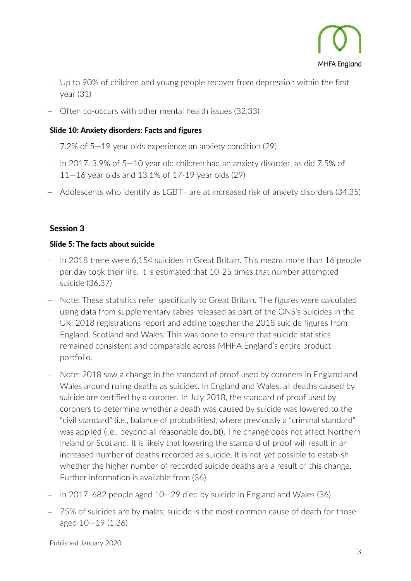

- − Up to 90% of children and young people recover from depression within the first year (31)
- − Often co-occurs with other mental health issues (32,33)

# Slide 10: Anxiety disorders: Facts and figures

- 7.2% of 5–19 year olds experience an anxiety condition (29)
- − In 2017, 3.9% of 5—10 year old children had an anxiety disorder, as did 7.5% of 11—16 year olds and 13.1% of 17-19 year olds (29)
- − Adolescents who identify as LGBT+ are at increased risk of anxiety disorders (34,35)

# Session 3

# Slide 5: The facts about suicide

- − In 2018 there were 6,154 suicides in Great Britain. This means more than 16 people per day took their life. It is estimated that 10-25 times that number attempted suicide (36,37)
- − Note: These statistics refer specifically to Great Britain. The figures were calculated using data from supplementary tables released as part of the ONS's Suicides in the UK: 2018 registrations report and adding together the 2018 suicide figures from England, Scotland and Wales. This was done to ensure that suicide statistics remained consistent and comparable across MHFA England's entire product portfolio.
- − Note: 2018 saw a change in the standard of proof used by coroners in England and Wales around ruling deaths as suicides. In England and Wales, all deaths caused by suicide are certified by a coroner. In July 2018, the standard of proof used by coroners to determine whether a death was caused by suicide was lowered to the "civil standard" (i.e., balance of probabilities), where previously a "criminal standard" was applied (i.e., beyond all reasonable doubt). The change does not affect Northern Ireland or Scotland. It is likely that lowering the standard of proof will result in an increased number of deaths recorded as suicide. It is not yet possible to establish whether the higher number of recorded suicide deaths are a result of this change. Further information is available from (36).
- − In 2017, 682 people aged 10—29 died by suicide in England and Wales (36)
- − 75% of suicides are by males; suicide is the most common cause of death for those aged 10—19 (1,36)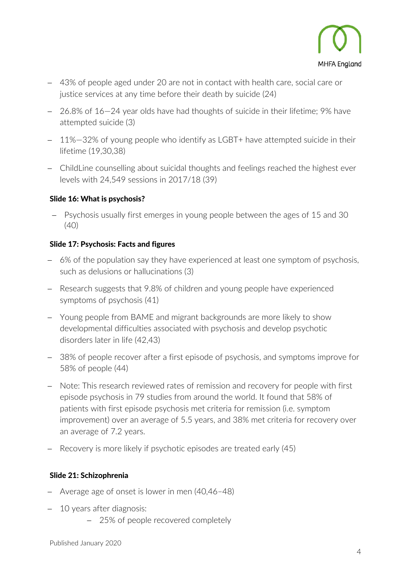

- − 43% of people aged under 20 are not in contact with health care, social care or justice services at any time before their death by suicide (24)
- − 26.8% of 16—24 year olds have had thoughts of suicide in their lifetime; 9% have attempted suicide (3)
- − 11%—32% of young people who identify as LGBT+ have attempted suicide in their lifetime (19,30,38)
- − ChildLine counselling about suicidal thoughts and feelings reached the highest ever levels with 24,549 sessions in 2017/18 (39)

# Slide 16: What is psychosis?

− Psychosis usually first emerges in young people between the ages of 15 and 30 (40)

# Slide 17: Psychosis: Facts and figures

- − 6% of the population say they have experienced at least one symptom of psychosis, such as delusions or hallucinations (3)
- − Research suggests that 9.8% of children and young people have experienced symptoms of psychosis (41)
- − Young people from BAME and migrant backgrounds are more likely to show developmental difficulties associated with psychosis and develop psychotic disorders later in life (42,43)
- − 38% of people recover after a first episode of psychosis, and symptoms improve for 58% of people (44)
- − Note: This research reviewed rates of remission and recovery for people with first episode psychosis in 79 studies from around the world. It found that 58% of patients with first episode psychosis met criteria for remission (i.e. symptom improvement) over an average of 5.5 years, and 38% met criteria for recovery over an average of 7.2 years.
- Recovery is more likely if psychotic episodes are treated early (45)

## Slide 21: Schizophrenia

- − Average age of onset is lower in men (40,46–48)
- − 10 years after diagnosis:
	- − 25% of people recovered completely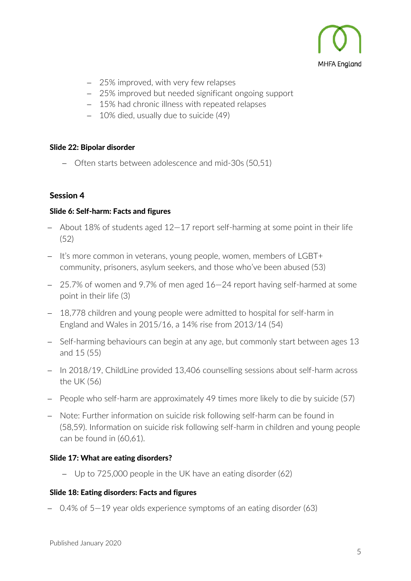

- − 25% improved, with very few relapses
- − 25% improved but needed significant ongoing support
- − 15% had chronic illness with repeated relapses
- − 10% died, usually due to suicide (49)

#### Slide 22: Bipolar disorder

− Often starts between adolescence and mid-30s (50,51)

## Session 4

#### Slide 6: Self-harm: Facts and figures

- − About 18% of students aged 12—17 report self-harming at some point in their life  $(52)$
- − It's more common in veterans, young people, women, members of LGBT+ community, prisoners, asylum seekers, and those who've been abused (53)
- − 25.7% of women and 9.7% of men aged 16—24 report having self-harmed at some point in their life (3)
- − 18,778 children and young people were admitted to hospital for self-harm in England and Wales in 2015/16, a 14% rise from 2013/14 (54)
- − Self-harming behaviours can begin at any age, but commonly start between ages 13 and 15 (55)
- − In 2018/19, ChildLine provided 13,406 counselling sessions about self-harm across the UK (56)
- − People who self-harm are approximately 49 times more likely to die by suicide (57)
- − Note: Further information on suicide risk following self-harm can be found in (58,59). Information on suicide risk following self-harm in children and young people can be found in (60,61).

## Slide 17: What are eating disorders?

− Up to 725,000 people in the UK have an eating disorder (62)

#### Slide 18: Eating disorders: Facts and figures

− 0.4% of 5—19 year olds experience symptoms of an eating disorder (63)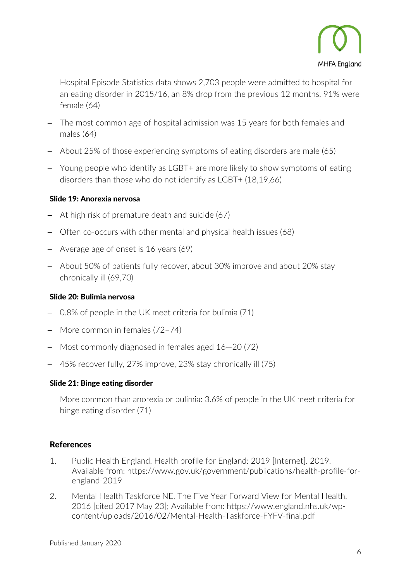

- − Hospital Episode Statistics data shows 2,703 people were admitted to hospital for an eating disorder in 2015/16, an 8% drop from the previous 12 months. 91% were female (64)
- − The most common age of hospital admission was 15 years for both females and males (64)
- − About 25% of those experiencing symptoms of eating disorders are male (65)
- − Young people who identify as LGBT+ are more likely to show symptoms of eating disorders than those who do not identify as LGBT+ (18,19,66)

## Slide 19: Anorexia nervosa

- − At high risk of premature death and suicide (67)
- − Often co-occurs with other mental and physical health issues (68)
- − Average age of onset is 16 years (69)
- − About 50% of patients fully recover, about 30% improve and about 20% stay chronically ill (69,70)

## Slide 20: Bulimia nervosa

- − 0.8% of people in the UK meet criteria for bulimia (71)
- − More common in females (72–74)
- − Most commonly diagnosed in females aged 16—20 (72)
- − 45% recover fully, 27% improve, 23% stay chronically ill (75)

#### Slide 21: Binge eating disorder

− More common than anorexia or bulimia: 3.6% of people in the UK meet criteria for binge eating disorder (71)

## References

- 1. Public Health England. Health profile for England: 2019 [Internet]. 2019. Available from: https://www.gov.uk/government/publications/health-profile-forengland-2019
- 2. Mental Health Taskforce NE. The Five Year Forward View for Mental Health. 2016 [cited 2017 May 23]; Available from: https://www.england.nhs.uk/wpcontent/uploads/2016/02/Mental-Health-Taskforce-FYFV-final.pdf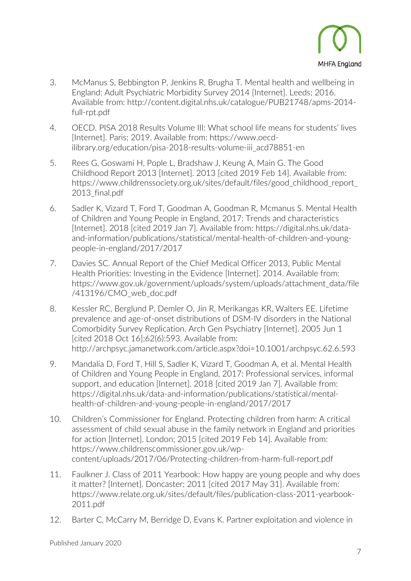

- 3. McManus S, Bebbington P, Jenkins R, Brugha T. Mental health and wellbeing in England: Adult Psychiatric Morbidity Survey 2014 [Internet]. Leeds; 2016. Available from: http://content.digital.nhs.uk/catalogue/PUB21748/apms-2014 full-rpt.pdf
- 4. OECD. PISA 2018 Results Volume III: What school life means for students' lives [Internet]. Paris; 2019. Available from: https://www.oecdilibrary.org/education/pisa-2018-results-volume-iii\_acd78851-en
- 5. Rees G, Goswami H, Pople L, Bradshaw J, Keung A, Main G. The Good Childhood Report 2013 [Internet]. 2013 [cited 2019 Feb 14]. Available from: https://www.childrenssociety.org.uk/sites/default/files/good\_childhood\_report\_ 2013 final.pdf
- 6. Sadler K, Vizard T, Ford T, Goodman A, Goodman R, Mcmanus S. Mental Health of Children and Young People in England, 2017: Trends and characteristics [Internet]. 2018 [cited 2019 Jan 7]. Available from: https://digital.nhs.uk/dataand-information/publications/statistical/mental-health-of-children-and-youngpeople-in-england/2017/2017
- 7. Davies SC. Annual Report of the Chief Medical Officer 2013, Public Mental Health Priorities: Investing in the Evidence [Internet]. 2014. Available from: https://www.gov.uk/government/uploads/system/uploads/attachment\_data/file /413196/CMO\_web\_doc.pdf
- 8. Kessler RC, Berglund P, Demler O, Jin R, Merikangas KR, Walters EE. Lifetime prevalence and age-of-onset distributions of DSM-IV disorders in the National Comorbidity Survey Replication. Arch Gen Psychiatry [Internet]. 2005 Jun 1 [cited 2018 Oct 16];62(6):593. Available from: http://archpsyc.jamanetwork.com/article.aspx?doi=10.1001/archpsyc.62.6.593
- 9. Mandalia D, Ford T, Hill S, Sadler K, Vizard T, Goodman A, et al. Mental Health of Children and Young People in England, 2017: Professional services, informal support, and education [Internet]. 2018 [cited 2019 Jan 7]. Available from: https://digital.nhs.uk/data-and-information/publications/statistical/mentalhealth-of-children-and-young-people-in-england/2017/2017
- 10. Children's Commissioner for England. Protecting children from harm: A critical assessment of child sexual abuse in the family network in England and priorities for action [Internet]. London; 2015 [cited 2019 Feb 14]. Available from: https://www.childrenscommissioner.gov.uk/wpcontent/uploads/2017/06/Protecting-children-from-harm-full-report.pdf
- 11. Faulkner J. Class of 2011 Yearbook: How happy are young people and why does it matter? [Internet]. Doncaster; 2011 [cited 2017 May 31]. Available from: https://www.relate.org.uk/sites/default/files/publication-class-2011-yearbook-2011.pdf
- 12. Barter C, McCarry M, Berridge D, Evans K. Partner exploitation and violence in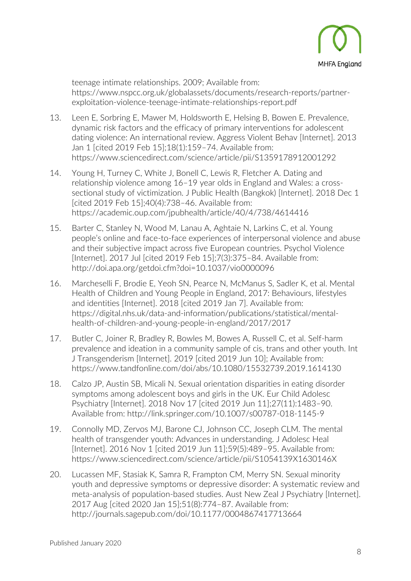

teenage intimate relationships. 2009; Available from: https://www.nspcc.org.uk/globalassets/documents/research-reports/partnerexploitation-violence-teenage-intimate-relationships-report.pdf

- 13. Leen E, Sorbring E, Mawer M, Holdsworth E, Helsing B, Bowen E. Prevalence, dynamic risk factors and the efficacy of primary interventions for adolescent dating violence: An international review. Aggress Violent Behav [Internet]. 2013 Jan 1 [cited 2019 Feb 15];18(1):159–74. Available from: https://www.sciencedirect.com/science/article/pii/S1359178912001292
- 14. Young H, Turney C, White J, Bonell C, Lewis R, Fletcher A. Dating and relationship violence among 16–19 year olds in England and Wales: a crosssectional study of victimization. J Public Health (Bangkok) [Internet]. 2018 Dec 1 [cited 2019 Feb 15];40(4):738–46. Available from: https://academic.oup.com/jpubhealth/article/40/4/738/4614416
- 15. Barter C, Stanley N, Wood M, Lanau A, Aghtaie N, Larkins C, et al. Young people's online and face-to-face experiences of interpersonal violence and abuse and their subjective impact across five European countries. Psychol Violence [Internet]. 2017 Jul [cited 2019 Feb 15];7(3):375–84. Available from: http://doi.apa.org/getdoi.cfm?doi=10.1037/vio0000096
- 16. Marcheselli F, Brodie E, Yeoh SN, Pearce N, McManus S, Sadler K, et al. Mental Health of Children and Young People in England, 2017: Behaviours, lifestyles and identities [Internet]. 2018 [cited 2019 Jan 7]. Available from: https://digital.nhs.uk/data-and-information/publications/statistical/mentalhealth-of-children-and-young-people-in-england/2017/2017
- 17. Butler C, Joiner R, Bradley R, Bowles M, Bowes A, Russell C, et al. Self-harm prevalence and ideation in a community sample of cis, trans and other youth. Int J Transgenderism [Internet]. 2019 [cited 2019 Jun 10]; Available from: https://www.tandfonline.com/doi/abs/10.1080/15532739.2019.1614130
- 18. Calzo JP, Austin SB, Micali N. Sexual orientation disparities in eating disorder symptoms among adolescent boys and girls in the UK. Eur Child Adolesc Psychiatry [Internet]. 2018 Nov 17 [cited 2019 Jun 11];27(11):1483–90. Available from: http://link.springer.com/10.1007/s00787-018-1145-9
- 19. Connolly MD, Zervos MJ, Barone CJ, Johnson CC, Joseph CLM. The mental health of transgender youth: Advances in understanding. J Adolesc Heal [Internet]. 2016 Nov 1 [cited 2019 Jun 11];59(5):489–95. Available from: https://www.sciencedirect.com/science/article/pii/S1054139X1630146X
- 20. Lucassen MF, Stasiak K, Samra R, Frampton CM, Merry SN. Sexual minority youth and depressive symptoms or depressive disorder: A systematic review and meta-analysis of population-based studies. Aust New Zeal J Psychiatry [Internet]. 2017 Aug [cited 2020 Jan 15];51(8):774–87. Available from: http://journals.sagepub.com/doi/10.1177/0004867417713664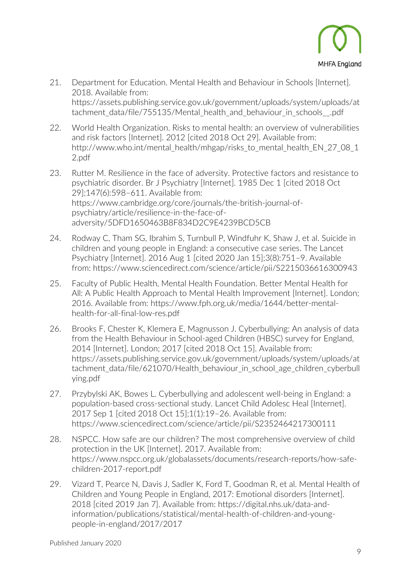

- 21. Department for Education. Mental Health and Behaviour in Schools [Internet]. 2018. Available from: https://assets.publishing.service.gov.uk/government/uploads/system/uploads/at tachment data/file/755135/Mental health and behaviour in schools .pdf
- 22. World Health Organization. Risks to mental health: an overview of vulnerabilities and risk factors [Internet]. 2012 [cited 2018 Oct 29]. Available from: http://www.who.int/mental\_health/mhgap/risks\_to\_mental\_health\_EN\_27\_08\_1 2.pdf
- 23. Rutter M. Resilience in the face of adversity. Protective factors and resistance to psychiatric disorder. Br J Psychiatry [Internet]. 1985 Dec 1 [cited 2018 Oct 29];147(6):598–611. Available from: https://www.cambridge.org/core/journals/the-british-journal-ofpsychiatry/article/resilience-in-the-face-ofadversity/5DFD1650463B8F834D2C9E4239BCD5CB
- 24. Rodway C, Tham SG, Ibrahim S, Turnbull P, Windfuhr K, Shaw J, et al. Suicide in children and young people in England: a consecutive case series. The Lancet Psychiatry [Internet]. 2016 Aug 1 [cited 2020 Jan 15];3(8):751–9. Available from: https://www.sciencedirect.com/science/article/pii/S2215036616300943
- 25. Faculty of Public Health, Mental Health Foundation. Better Mental Health for All: A Public Health Approach to Mental Health Improvement [Internet]. London; 2016. Available from: https://www.fph.org.uk/media/1644/better-mentalhealth-for-all-final-low-res.pdf
- 26. Brooks F, Chester K, Klemera E, Magnusson J. Cyberbullying: An analysis of data from the Health Behaviour in School-aged Children (HBSC) survey for England, 2014 [Internet]. London; 2017 [cited 2018 Oct 15]. Available from: https://assets.publishing.service.gov.uk/government/uploads/system/uploads/at tachment\_data/file/621070/Health\_behaviour\_in\_school\_age\_children\_cyberbull ying.pdf
- 27. Przybylski AK, Bowes L. Cyberbullying and adolescent well-being in England: a population-based cross-sectional study. Lancet Child Adolesc Heal [Internet]. 2017 Sep 1 [cited 2018 Oct 15];1(1):19–26. Available from: https://www.sciencedirect.com/science/article/pii/S2352464217300111
- 28. NSPCC. How safe are our children? The most comprehensive overview of child protection in the UK [Internet]. 2017. Available from: https://www.nspcc.org.uk/globalassets/documents/research-reports/how-safechildren-2017-report.pdf
- 29. Vizard T, Pearce N, Davis J, Sadler K, Ford T, Goodman R, et al. Mental Health of Children and Young People in England, 2017: Emotional disorders [Internet]. 2018 [cited 2019 Jan 7]. Available from: https://digital.nhs.uk/data-andinformation/publications/statistical/mental-health-of-children-and-youngpeople-in-england/2017/2017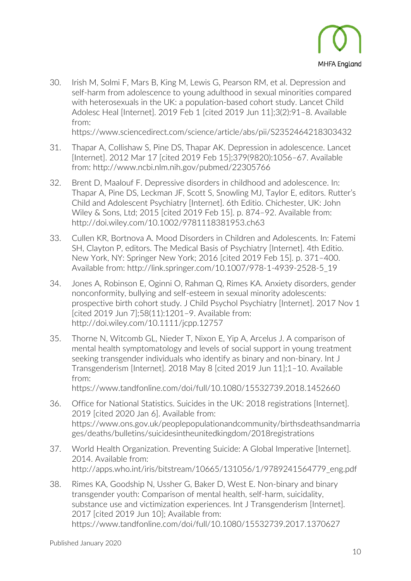

30. Irish M, Solmi F, Mars B, King M, Lewis G, Pearson RM, et al. Depression and self-harm from adolescence to young adulthood in sexual minorities compared with heterosexuals in the UK: a population-based cohort study. Lancet Child Adolesc Heal [Internet]. 2019 Feb 1 [cited 2019 Jun 11];3(2):91–8. Available from:

https://www.sciencedirect.com/science/article/abs/pii/S2352464218303432

- 31. Thapar A, Collishaw S, Pine DS, Thapar AK. Depression in adolescence. Lancet [Internet]. 2012 Mar 17 [cited 2019 Feb 15];379(9820):1056–67. Available from: http://www.ncbi.nlm.nih.gov/pubmed/22305766
- 32. Brent D, Maalouf F. Depressive disorders in childhood and adolescence. In: Thapar A, Pine DS, Leckman JF, Scott S, Snowling MJ, Taylor E, editors. Rutter's Child and Adolescent Psychiatry [Internet]. 6th Editio. Chichester, UK: John Wiley & Sons, Ltd; 2015 [cited 2019 Feb 15]. p. 874–92. Available from: http://doi.wiley.com/10.1002/9781118381953.ch63
- 33. Cullen KR, Bortnova A. Mood Disorders in Children and Adolescents. In: Fatemi SH, Clayton P, editors. The Medical Basis of Psychiatry [Internet]. 4th Editio. New York, NY: Springer New York; 2016 [cited 2019 Feb 15]. p. 371–400. Available from: http://link.springer.com/10.1007/978-1-4939-2528-5\_19
- 34. Jones A, Robinson E, Oginni O, Rahman Q, Rimes KA. Anxiety disorders, gender nonconformity, bullying and self-esteem in sexual minority adolescents: prospective birth cohort study. J Child Psychol Psychiatry [Internet]. 2017 Nov 1 [cited 2019 Jun 7];58(11):1201–9. Available from: http://doi.wiley.com/10.1111/jcpp.12757
- 35. Thorne N, Witcomb GL, Nieder T, Nixon E, Yip A, Arcelus J. A comparison of mental health symptomatology and levels of social support in young treatment seeking transgender individuals who identify as binary and non-binary. Int J Transgenderism [Internet]. 2018 May 8 [cited 2019 Jun 11];1–10. Available from:

https://www.tandfonline.com/doi/full/10.1080/15532739.2018.1452660

- 36. Office for National Statistics. Suicides in the UK: 2018 registrations [Internet]. 2019 [cited 2020 Jan 6]. Available from: https://www.ons.gov.uk/peoplepopulationandcommunity/birthsdeathsandmarria ges/deaths/bulletins/suicidesintheunitedkingdom/2018registrations
- 37. World Health Organization. Preventing Suicide: A Global Imperative [Internet]. 2014. Available from: http://apps.who.int/iris/bitstream/10665/131056/1/9789241564779\_eng.pdf
- 38. Rimes KA, Goodship N, Ussher G, Baker D, West E. Non-binary and binary transgender youth: Comparison of mental health, self-harm, suicidality, substance use and victimization experiences. Int J Transgenderism [Internet]. 2017 [cited 2019 Jun 10]; Available from: https://www.tandfonline.com/doi/full/10.1080/15532739.2017.1370627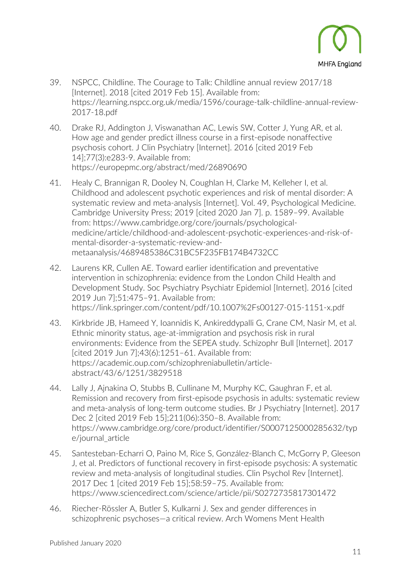

- 39. NSPCC, Childline. The Courage to Talk: Childline annual review 2017/18 [Internet]. 2018 [cited 2019 Feb 15]. Available from: https://learning.nspcc.org.uk/media/1596/courage-talk-childline-annual-review-2017-18.pdf
- 40. Drake RJ, Addington J, Viswanathan AC, Lewis SW, Cotter J, Yung AR, et al. How age and gender predict illness course in a first-episode nonaffective psychosis cohort. J Clin Psychiatry [Internet]. 2016 [cited 2019 Feb 14];77(3):e283-9. Available from: https://europepmc.org/abstract/med/26890690
- 41. Healy C, Brannigan R, Dooley N, Coughlan H, Clarke M, Kelleher I, et al. Childhood and adolescent psychotic experiences and risk of mental disorder: A systematic review and meta-analysis [Internet]. Vol. 49, Psychological Medicine. Cambridge University Press; 2019 [cited 2020 Jan 7]. p. 1589–99. Available from: https://www.cambridge.org/core/journals/psychologicalmedicine/article/childhood-and-adolescent-psychotic-experiences-and-risk-ofmental-disorder-a-systematic-review-andmetaanalysis/4689485386C31BC5F235FB174B4732CC
- 42. Laurens KR, Cullen AE. Toward earlier identification and preventative intervention in schizophrenia: evidence from the London Child Health and Development Study. Soc Psychiatry Psychiatr Epidemiol [Internet]. 2016 [cited 2019 Jun 7];51:475–91. Available from: https://link.springer.com/content/pdf/10.1007%2Fs00127-015-1151-x.pdf
- 43. Kirkbride JB, Hameed Y, Ioannidis K, Ankireddypalli G, Crane CM, Nasir M, et al. Ethnic minority status, age-at-immigration and psychosis risk in rural environments: Evidence from the SEPEA study. Schizophr Bull [Internet]. 2017 [cited 2019 Jun 7];43(6):1251–61. Available from: https://academic.oup.com/schizophreniabulletin/articleabstract/43/6/1251/3829518
- 44. Lally J, Ajnakina O, Stubbs B, Cullinane M, Murphy KC, Gaughran F, et al. Remission and recovery from first-episode psychosis in adults: systematic review and meta-analysis of long-term outcome studies. Br J Psychiatry [Internet]. 2017 Dec 2 [cited 2019 Feb 15];211(06):350–8. Available from: https://www.cambridge.org/core/product/identifier/S0007125000285632/typ e/journal\_article
- 45. Santesteban-Echarri O, Paino M, Rice S, González-Blanch C, McGorry P, Gleeson J, et al. Predictors of functional recovery in first-episode psychosis: A systematic review and meta-analysis of longitudinal studies. Clin Psychol Rev [Internet]. 2017 Dec 1 [cited 2019 Feb 15];58:59–75. Available from: https://www.sciencedirect.com/science/article/pii/S0272735817301472
- 46. Riecher-Rössler A, Butler S, Kulkarni J. Sex and gender differences in schizophrenic psychoses—a critical review. Arch Womens Ment Health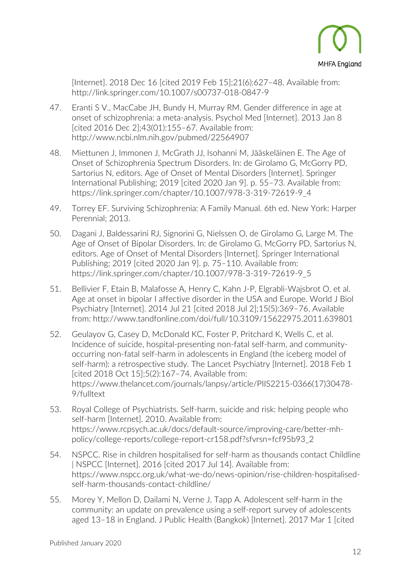

[Internet]. 2018 Dec 16 [cited 2019 Feb 15];21(6):627–48. Available from: http://link.springer.com/10.1007/s00737-018-0847-9

- 47. Eranti S V., MacCabe JH, Bundy H, Murray RM. Gender difference in age at onset of schizophrenia: a meta-analysis. Psychol Med [Internet]. 2013 Jan 8 [cited 2016 Dec 2];43(01):155–67. Available from: http://www.ncbi.nlm.nih.gov/pubmed/22564907
- 48. Miettunen J, Immonen J, McGrath JJ, Isohanni M, Jääskeläinen E. The Age of Onset of Schizophrenia Spectrum Disorders. In: de Girolamo G, McGorry PD, Sartorius N, editors. Age of Onset of Mental Disorders [Internet]. Springer International Publishing; 2019 [cited 2020 Jan 9]. p. 55–73. Available from: https://link.springer.com/chapter/10.1007/978-3-319-72619-9\_4
- 49. Torrey EF. Surviving Schizophrenia: A Family Manual. 6th ed. New York: Harper Perennial; 2013.
- 50. Dagani J, Baldessarini RJ, Signorini G, Nielssen O, de Girolamo G, Large M. The Age of Onset of Bipolar Disorders. In: de Girolamo G, McGorry PD, Sartorius N, editors. Age of Onset of Mental Disorders [Internet]. Springer International Publishing; 2019 [cited 2020 Jan 9]. p. 75–110. Available from: https://link.springer.com/chapter/10.1007/978-3-319-72619-9\_5
- 51. Bellivier F, Etain B, Malafosse A, Henry C, Kahn J-P, Elgrabli-Wajsbrot O, et al. Age at onset in bipolar I affective disorder in the USA and Europe. World J Biol Psychiatry [Internet]. 2014 Jul 21 [cited 2018 Jul 2];15(5):369–76. Available from: http://www.tandfonline.com/doi/full/10.3109/15622975.2011.639801
- 52. Geulayov G, Casey D, McDonald KC, Foster P, Pritchard K, Wells C, et al. Incidence of suicide, hospital-presenting non-fatal self-harm, and communityoccurring non-fatal self-harm in adolescents in England (the iceberg model of self-harm): a retrospective study. The Lancet Psychiatry [Internet]. 2018 Feb 1 [cited 2018 Oct 15];5(2):167–74. Available from: https://www.thelancet.com/journals/lanpsy/article/PIIS2215-0366(17)30478- 9/fulltext
- 53. Royal College of Psychiatrists. Self-harm, suicide and risk: helping people who self-harm [Internet]. 2010. Available from: https://www.rcpsych.ac.uk/docs/default-source/improving-care/better-mhpolicy/college-reports/college-report-cr158.pdf?sfvrsn=fcf95b93\_2
- 54. NSPCC. Rise in children hospitalised for self-harm as thousands contact Childline | NSPCC [Internet]. 2016 [cited 2017 Jul 14]. Available from: https://www.nspcc.org.uk/what-we-do/news-opinion/rise-children-hospitalisedself-harm-thousands-contact-childline/
- 55. Morey Y, Mellon D, Dailami N, Verne J, Tapp A. Adolescent self-harm in the community: an update on prevalence using a self-report survey of adolescents aged 13–18 in England. J Public Health (Bangkok) [Internet]. 2017 Mar 1 [cited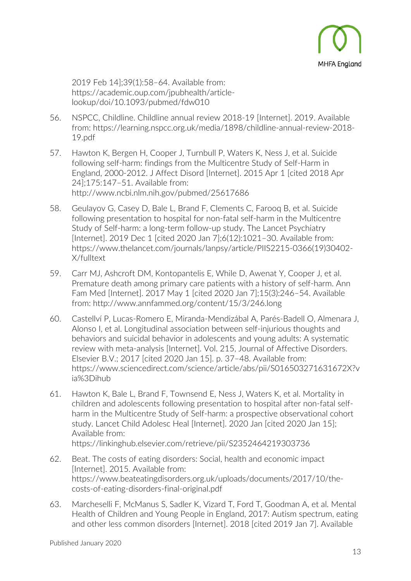

2019 Feb 14];39(1):58–64. Available from: https://academic.oup.com/jpubhealth/articlelookup/doi/10.1093/pubmed/fdw010

- 56. NSPCC, Childline. Childline annual review 2018-19 [Internet]. 2019. Available from: https://learning.nspcc.org.uk/media/1898/childline-annual-review-2018- 19.pdf
- 57. Hawton K, Bergen H, Cooper J, Turnbull P, Waters K, Ness J, et al. Suicide following self-harm: findings from the Multicentre Study of Self-Harm in England, 2000-2012. J Affect Disord [Internet]. 2015 Apr 1 [cited 2018 Apr 24];175:147–51. Available from: http://www.ncbi.nlm.nih.gov/pubmed/25617686
- 58. Geulayov G, Casey D, Bale L, Brand F, Clements C, Farooq B, et al. Suicide following presentation to hospital for non-fatal self-harm in the Multicentre Study of Self-harm: a long-term follow-up study. The Lancet Psychiatry [Internet]. 2019 Dec 1 [cited 2020 Jan 7];6(12):1021–30. Available from: https://www.thelancet.com/journals/lanpsy/article/PIIS2215-0366(19)30402- X/fulltext
- 59. Carr MJ, Ashcroft DM, Kontopantelis E, While D, Awenat Y, Cooper J, et al. Premature death among primary care patients with a history of self-harm. Ann Fam Med [Internet]. 2017 May 1 [cited 2020 Jan 7];15(3):246–54. Available from: http://www.annfammed.org/content/15/3/246.long
- 60. Castellví P, Lucas-Romero E, Miranda-Mendizábal A, Parés-Badell O, Almenara J, Alonso I, et al. Longitudinal association between self-injurious thoughts and behaviors and suicidal behavior in adolescents and young adults: A systematic review with meta-analysis [Internet]. Vol. 215, Journal of Affective Disorders. Elsevier B.V.; 2017 [cited 2020 Jan 15]. p. 37–48. Available from: https://www.sciencedirect.com/science/article/abs/pii/S016503271631672X?v ia%3Dihub
- 61. Hawton K, Bale L, Brand F, Townsend E, Ness J, Waters K, et al. Mortality in children and adolescents following presentation to hospital after non-fatal selfharm in the Multicentre Study of Self-harm: a prospective observational cohort study. Lancet Child Adolesc Heal [Internet]. 2020 Jan [cited 2020 Jan 15]; Available from: https://linkinghub.elsevier.com/retrieve/pii/S2352464219303736
- 62. Beat. The costs of eating disorders: Social, health and economic impact [Internet]. 2015. Available from: https://www.beateatingdisorders.org.uk/uploads/documents/2017/10/thecosts-of-eating-disorders-final-original.pdf
- 63. Marcheselli F, McManus S, Sadler K, Vizard T, Ford T, Goodman A, et al. Mental Health of Children and Young People in England, 2017: Autism spectrum, eating and other less common disorders [Internet]. 2018 [cited 2019 Jan 7]. Available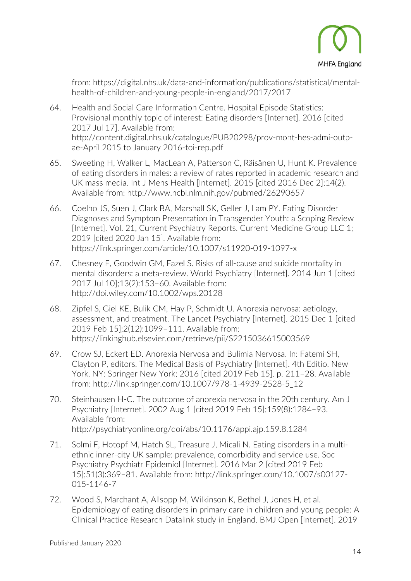

from: https://digital.nhs.uk/data-and-information/publications/statistical/mentalhealth-of-children-and-young-people-in-england/2017/2017

- 64. Health and Social Care Information Centre. Hospital Episode Statistics: Provisional monthly topic of interest: Eating disorders [Internet]. 2016 [cited 2017 Jul 17]. Available from: http://content.digital.nhs.uk/catalogue/PUB20298/prov-mont-hes-admi-outpae-April 2015 to January 2016-toi-rep.pdf
- 65. Sweeting H, Walker L, MacLean A, Patterson C, Räisänen U, Hunt K. Prevalence of eating disorders in males: a review of rates reported in academic research and UK mass media. Int J Mens Health [Internet]. 2015 [cited 2016 Dec 2];14(2). Available from: http://www.ncbi.nlm.nih.gov/pubmed/26290657
- 66. Coelho JS, Suen J, Clark BA, Marshall SK, Geller J, Lam PY. Eating Disorder Diagnoses and Symptom Presentation in Transgender Youth: a Scoping Review [Internet]. Vol. 21, Current Psychiatry Reports. Current Medicine Group LLC 1; 2019 [cited 2020 Jan 15]. Available from: https://link.springer.com/article/10.1007/s11920-019-1097-x
- 67. Chesney E, Goodwin GM, Fazel S. Risks of all-cause and suicide mortality in mental disorders: a meta-review. World Psychiatry [Internet]. 2014 Jun 1 [cited 2017 Jul 10];13(2):153–60. Available from: http://doi.wiley.com/10.1002/wps.20128
- 68. Zipfel S, Giel KE, Bulik CM, Hay P, Schmidt U. Anorexia nervosa: aetiology, assessment, and treatment. The Lancet Psychiatry [Internet]. 2015 Dec 1 [cited 2019 Feb 15];2(12):1099–111. Available from: https://linkinghub.elsevier.com/retrieve/pii/S2215036615003569
- 69. Crow SJ, Eckert ED. Anorexia Nervosa and Bulimia Nervosa. In: Fatemi SH, Clayton P, editors. The Medical Basis of Psychiatry [Internet]. 4th Editio. New York, NY: Springer New York; 2016 [cited 2019 Feb 15]. p. 211–28. Available from: http://link.springer.com/10.1007/978-1-4939-2528-5\_12
- 70. Steinhausen H-C. The outcome of anorexia nervosa in the 20th century. Am J Psychiatry [Internet]. 2002 Aug 1 [cited 2019 Feb 15];159(8):1284–93. Available from: http://psychiatryonline.org/doi/abs/10.1176/appi.ajp.159.8.1284
- 71. Solmi F, Hotopf M, Hatch SL, Treasure J, Micali N. Eating disorders in a multiethnic inner-city UK sample: prevalence, comorbidity and service use. Soc Psychiatry Psychiatr Epidemiol [Internet]. 2016 Mar 2 [cited 2019 Feb 15];51(3):369–81. Available from: http://link.springer.com/10.1007/s00127- 015-1146-7
- 72. Wood S, Marchant A, Allsopp M, Wilkinson K, Bethel J, Jones H, et al. Epidemiology of eating disorders in primary care in children and young people: A Clinical Practice Research Datalink study in England. BMJ Open [Internet]. 2019